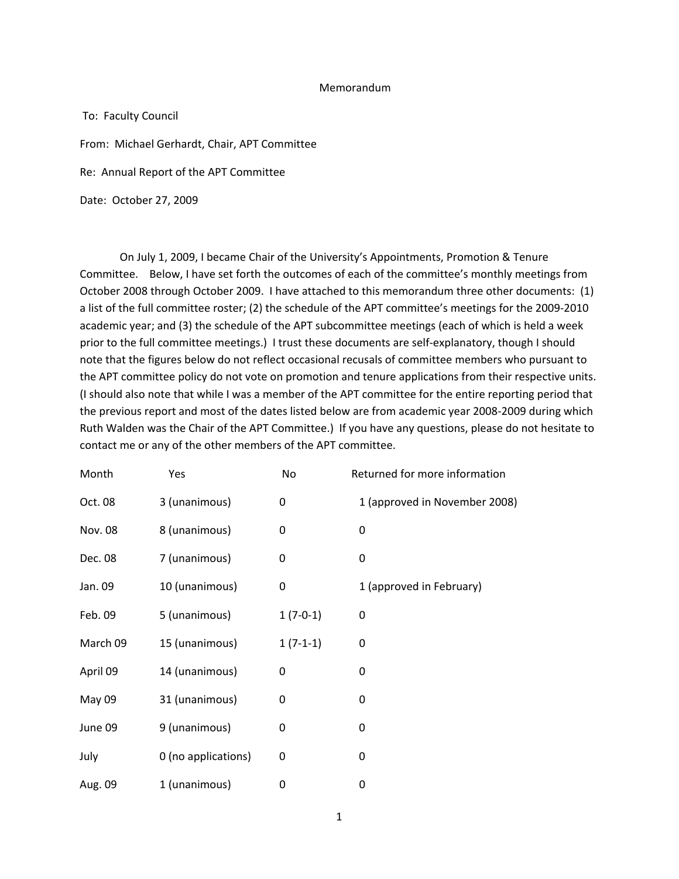### Memorandum

To: Faculty Council From: Michael Gerhardt, Chair, APT Committee

Re: Annual Report of the APT Committee

Date: October 27, 2009

On July 1, 2009, I became Chair of the University's Appointments, Promotion & Tenure Committee. Below, I have set forth the outcomes of each of the committee's monthly meetings from October 2008 through October 2009. I have attached to this memorandum three other documents: (1) a list of the full committee roster; (2) the schedule of the APT committee's meetings for the 2009‐2010 academic year; and (3) the schedule of the APT subcommittee meetings (each of which is held a week prior to the full committee meetings.) I trust these documents are self‐explanatory, though I should note that the figures below do not reflect occasional recusals of committee members who pursuant to the APT committee policy do not vote on promotion and tenure applications from their respective units. (I should also note that while I was a member of the APT committee for the entire reporting period that the previous report and most of the dates listed below are from academic year 2008‐2009 during which Ruth Walden was the Chair of the APT Committee.) If you have any questions, please do not hesitate to contact me or any of the other members of the APT committee.

| Month          | Yes                 | No         | Returned for more information |
|----------------|---------------------|------------|-------------------------------|
| Oct. 08        | 3 (unanimous)       | 0          | 1 (approved in November 2008) |
| <b>Nov. 08</b> | 8 (unanimous)       | 0          | 0                             |
| Dec. 08        | 7 (unanimous)       | 0          | 0                             |
| Jan. 09        | 10 (unanimous)      | 0          | 1 (approved in February)      |
| Feb. 09        | 5 (unanimous)       | $1(7-0-1)$ | 0                             |
| March 09       | 15 (unanimous)      | $1(7-1-1)$ | 0                             |
| April 09       | 14 (unanimous)      | 0          | 0                             |
| May 09         | 31 (unanimous)      | 0          | 0                             |
| June 09        | 9 (unanimous)       | 0          | 0                             |
| July           | 0 (no applications) | 0          | 0                             |
| Aug. 09        | 1 (unanimous)       | 0          | 0                             |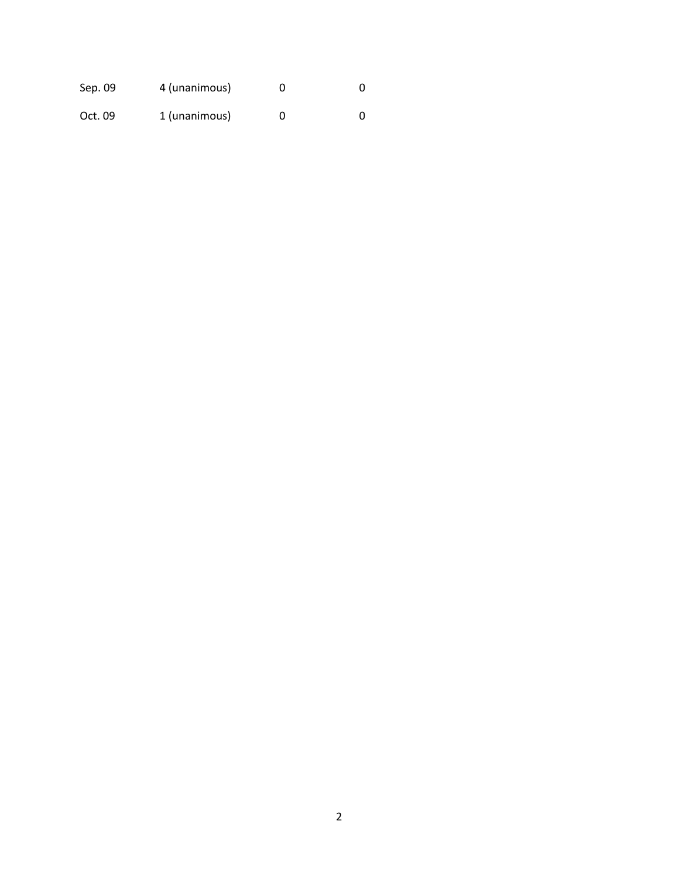| Sep. 09 | 4 (unanimous) |  |
|---------|---------------|--|
| Oct. 09 | 1 (unanimous) |  |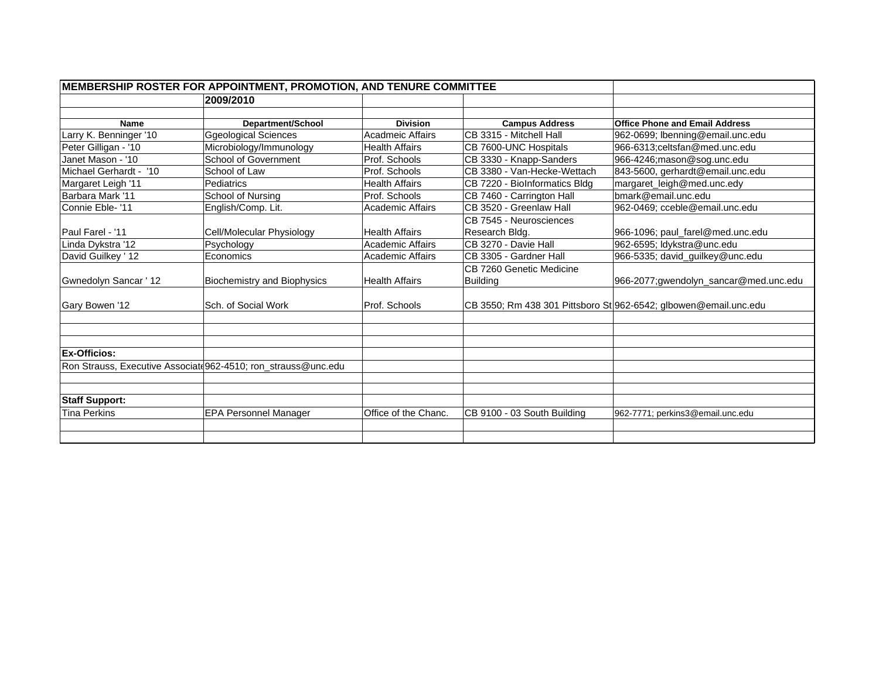| <b>MEMBERSHIP ROSTER FOR APPOINTMENT, PROMOTION, AND TENURE COMMITTEE</b> |                                                                |                         |                               |                                                                  |
|---------------------------------------------------------------------------|----------------------------------------------------------------|-------------------------|-------------------------------|------------------------------------------------------------------|
|                                                                           | 2009/2010                                                      |                         |                               |                                                                  |
|                                                                           |                                                                |                         |                               |                                                                  |
| <b>Name</b>                                                               | Department/School                                              | <b>Division</b>         | <b>Campus Address</b>         | <b>Office Phone and Email Address</b>                            |
| Larry K. Benninger '10                                                    | <b>Ggeological Sciences</b>                                    | <b>Acadmeic Affairs</b> | CB 3315 - Mitchell Hall       | 962-0699; Ibenning@email.unc.edu                                 |
| Peter Gilligan - '10                                                      | Microbiology/Immunology                                        | <b>Health Affairs</b>   | CB 7600-UNC Hospitals         | 966-6313:celtsfan@med.unc.edu                                    |
| Janet Mason - '10                                                         | School of Government                                           | Prof. Schools           | CB 3330 - Knapp-Sanders       | 966-4246; mason@sog.unc.edu                                      |
| Michael Gerhardt - '10                                                    | School of Law                                                  | Prof. Schools           | CB 3380 - Van-Hecke-Wettach   | 843-5600, gerhardt@email.unc.edu                                 |
| Margaret Leigh '11                                                        | Pediatrics                                                     | <b>Health Affairs</b>   | CB 7220 - BioInformatics Bldg | margaret_leigh@med.unc.edy                                       |
| Barbara Mark '11                                                          | School of Nursing                                              | Prof. Schools           | CB 7460 - Carrington Hall     | bmark@email.unc.edu                                              |
| Connie Eble- '11                                                          | English/Comp. Lit.                                             | <b>Academic Affairs</b> | CB 3520 - Greenlaw Hall       | 962-0469; cceble@email.unc.edu                                   |
|                                                                           |                                                                |                         | CB 7545 - Neurosciences       |                                                                  |
| Paul Farel - '11                                                          | Cell/Molecular Physiology                                      | <b>Health Affairs</b>   | Research Bldg.                | 966-1096; paul_farel@med.unc.edu                                 |
| Linda Dykstra '12                                                         | Psychology                                                     | <b>Academic Affairs</b> | CB 3270 - Davie Hall          | 962-6595; ldykstra@unc.edu                                       |
| David Guilkey ' 12                                                        | Economics                                                      | <b>Academic Affairs</b> | CB 3305 - Gardner Hall        | 966-5335; david_guilkey@unc.edu                                  |
|                                                                           |                                                                |                         | CB 7260 Genetic Medicine      |                                                                  |
| Gwnedolyn Sancar ' 12                                                     | <b>Biochemistry and Biophysics</b>                             | <b>Health Affairs</b>   | <b>Building</b>               | 966-2077;gwendolyn_sancar@med.unc.edu                            |
| Gary Bowen '12                                                            | Sch. of Social Work                                            | Prof. Schools           |                               | CB 3550; Rm 438 301 Pittsboro St 962-6542; glbowen@email.unc.edu |
|                                                                           |                                                                |                         |                               |                                                                  |
|                                                                           |                                                                |                         |                               |                                                                  |
| <b>Ex-Officios:</b>                                                       |                                                                |                         |                               |                                                                  |
|                                                                           | Ron Strauss, Executive Associate 962-4510; ron_strauss@unc.edu |                         |                               |                                                                  |
|                                                                           |                                                                |                         |                               |                                                                  |
| <b>Staff Support:</b>                                                     |                                                                |                         |                               |                                                                  |
| <b>Tina Perkins</b>                                                       | <b>EPA Personnel Manager</b>                                   | Office of the Chanc.    | CB 9100 - 03 South Building   | 962-7771; perkins3@email.unc.edu                                 |
|                                                                           |                                                                |                         |                               |                                                                  |
|                                                                           |                                                                |                         |                               |                                                                  |
|                                                                           |                                                                |                         |                               |                                                                  |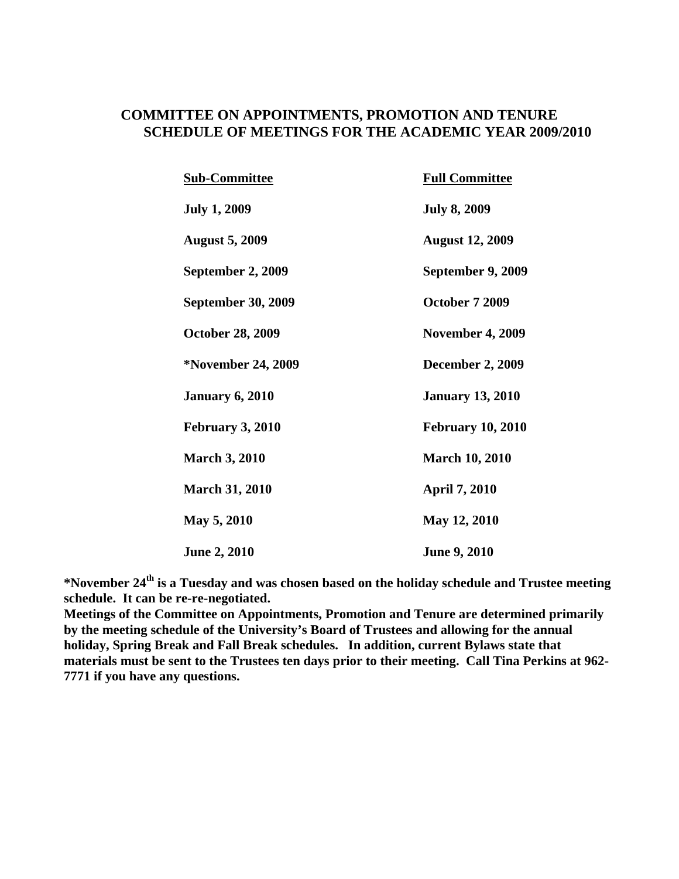## **COMMITTEE ON APPOINTMENTS, PROMOTION AND TENURE SCHEDULE OF MEETINGS FOR THE ACADEMIC YEAR 2009/2010**

| <b>Sub-Committee</b>      | <b>Full Committee</b>    |
|---------------------------|--------------------------|
| <b>July 1, 2009</b>       | <b>July 8, 2009</b>      |
| <b>August 5, 2009</b>     | <b>August 12, 2009</b>   |
| September 2, 2009         | September 9, 2009        |
| <b>September 30, 2009</b> | <b>October 7 2009</b>    |
| <b>October 28, 2009</b>   | <b>November 4, 2009</b>  |
| *November 24, 2009        | <b>December 2, 2009</b>  |
| <b>January 6, 2010</b>    | <b>January 13, 2010</b>  |
| <b>February 3, 2010</b>   | <b>February 10, 2010</b> |
| <b>March 3, 2010</b>      | <b>March 10, 2010</b>    |
| <b>March 31, 2010</b>     | <b>April 7, 2010</b>     |
| May 5, 2010               | May 12, 2010             |
| <b>June 2, 2010</b>       | <b>June 9, 2010</b>      |

**\*November 24th is a Tuesday and was chosen based on the holiday schedule and Trustee meeting schedule. It can be re-re-negotiated.** 

**Meetings of the Committee on Appointments, Promotion and Tenure are determined primarily by the meeting schedule of the University's Board of Trustees and allowing for the annual holiday, Spring Break and Fall Break schedules. In addition, current Bylaws state that materials must be sent to the Trustees ten days prior to their meeting. Call Tina Perkins at 962- 7771 if you have any questions.**